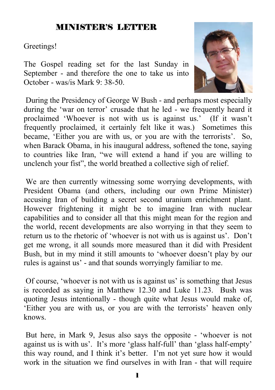### MINISTER'S LETTER

#### Greetings!

The Gospel reading set for the last Sunday in September - and therefore the one to take us into October - was/is Mark 9: 38-50.



 During the Presidency of George W Bush - and perhaps most especially during the 'war on terror' crusade that he led - we frequently heard it proclaimed 'Whoever is not with us is against us.' (If it wasn't frequently proclaimed, it certainly felt like it was.) Sometimes this became, 'Either you are with us, or you are with the terrorists'. So, when Barack Obama, in his inaugural address, softened the tone, saying to countries like Iran, "we will extend a hand if you are willing to unclench your fist", the world breathed a collective sigh of relief.

 We are then currently witnessing some worrying developments, with President Obama (and others, including our own Prime Minister) accusing Iran of building a secret second uranium enrichment plant. However frightening it might be to imagine Iran with nuclear capabilities and to consider all that this might mean for the region and the world, recent developments are also worrying in that they seem to return us to the rhetoric of 'whoever is not with us is against us'. Don't get me wrong, it all sounds more measured than it did with President Bush, but in my mind it still amounts to 'whoever doesn't play by our rules is against us' - and that sounds worryingly familiar to me.

 Of course, 'whoever is not with us is against us' is something that Jesus is recorded as saying in Matthew 12.30 and Luke 11.23. Bush was quoting Jesus intentionally - though quite what Jesus would make of, 'Either you are with us, or you are with the terrorists' heaven only knows.

 But here, in Mark 9, Jesus also says the opposite - 'whoever is not against us is with us'. It's more 'glass half-full' than 'glass half-empty' this way round, and I think it's better. I'm not yet sure how it would work in the situation we find ourselves in with Iran - that will require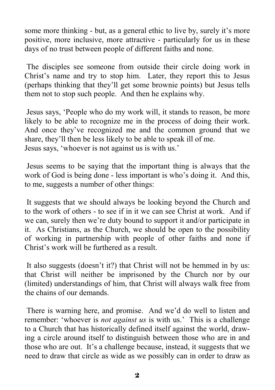some more thinking - but, as a general ethic to live by, surely it's more positive, more inclusive, more attractive - particularly for us in these days of no trust between people of different faiths and none.

 The disciples see someone from outside their circle doing work in Christ's name and try to stop him. Later, they report this to Jesus (perhaps thinking that they'll get some brownie points) but Jesus tells them not to stop such people. And then he explains why.

 Jesus says, 'People who do my work will, it stands to reason, be more likely to be able to recognize me in the process of doing their work. And once they've recognized me and the common ground that we share, they'll then be less likely to be able to speak ill of me. Jesus says, 'whoever is not against us is with us.'

 Jesus seems to be saying that the important thing is always that the work of God is being done - less important is who's doing it. And this, to me, suggests a number of other things:

 It suggests that we should always be looking beyond the Church and to the work of others - to see if in it we can see Christ at work. And if we can, surely then we're duty bound to support it and/or participate in it. As Christians, as the Church, we should be open to the possibility of working in partnership with people of other faiths and none if Christ's work will be furthered as a result.

 It also suggests (doesn't it?) that Christ will not be hemmed in by us: that Christ will neither be imprisoned by the Church nor by our (limited) understandings of him, that Christ will always walk free from the chains of our demands.

 There is warning here, and promise. And we'd do well to listen and remember: 'whoever is *not against us* is with us.' This is a challenge to a Church that has historically defined itself against the world, drawing a circle around itself to distinguish between those who are in and those who are out. It's a challenge because, instead, it suggests that we need to draw that circle as wide as we possibly can in order to draw as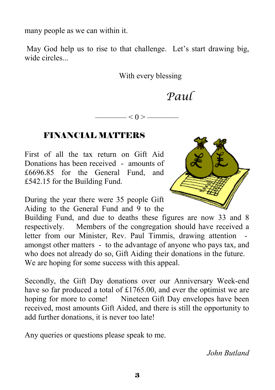many people as we can within it.

May God help us to rise to that challenge. Let's start drawing big, wide circles.

With every blessing

*Paul*

——— $<$  () > —

#### FINANCIAL MATTERS

First of all the tax return on Gift Aid Donations has been received - amounts of £6696.85 for the General Fund, and £542.15 for the Building Fund.

During the year there were 35 people Gift Aiding to the General Fund and 9 to the

Building Fund, and due to deaths these figures are now 33 and 8 respectively. Members of the congregation should have received a letter from our Minister, Rev. Paul Timmis, drawing attention amongst other matters - to the advantage of anyone who pays tax, and who does not already do so, Gift Aiding their donations in the future. We are hoping for some success with this appeal.

Secondly, the Gift Day donations over our Anniversary Week-end have so far produced a total of £1765.00, and ever the optimist we are hoping for more to come! Nineteen Gift Day envelopes have been received, most amounts Gift Aided, and there is still the opportunity to add further donations, it is never too late!

Any queries or questions please speak to me.

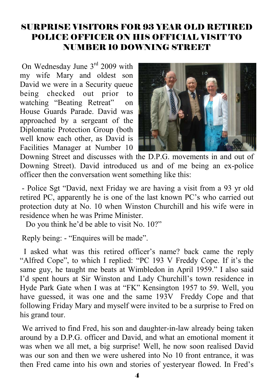### SURPRISE VISITORS FOR 93 YEAR OLD RETIRED POLICE OFFICER ON HIS OFFICIAL VISIT TO NUMBER 10 DOWNING STREET

 On Wednesday June 3rd 2009 with my wife Mary and oldest son David we were in a Security queue being checked out prior to watching "Beating Retreat" on House Guards Parade. David was approached by a sergeant of the Diplomatic Protection Group (both well know each other, as David is Facilities Manager at Number 10



Downing Street and discusses with the D.P.G. movements in and out of Downing Street). David introduced us and of me being an ex-police officer then the conversation went something like this:

 - Police Sgt "David, next Friday we are having a visit from a 93 yr old retired PC, apparently he is one of the last known PC's who carried out protection duty at No. 10 when Winston Churchill and his wife were in residence when he was Prime Minister.

Do you think he'd be able to visit No. 10?"

Reply being: - "Enquires will be made".

 I asked what was this retired officer's name? back came the reply "Alfred Cope", to which I replied: "PC 193 V Freddy Cope. If it's the same guy, he taught me beats at Wimbledon in April 1959." I also said I'd spent hours at Sir Winston and Lady Churchill's town residence in Hyde Park Gate when I was at "FK" Kensington 1957 to 59. Well, you have guessed, it was one and the same 193V Freddy Cope and that following Friday Mary and myself were invited to be a surprise to Fred on his grand tour.

 We arrived to find Fred, his son and daughter-in-law already being taken around by a D.P.G. officer and David, and what an emotional moment it was when we all met, a big surprise! Well, he now soon realised David was our son and then we were ushered into No 10 front entrance, it was then Fred came into his own and stories of yesteryear flowed. In Fred's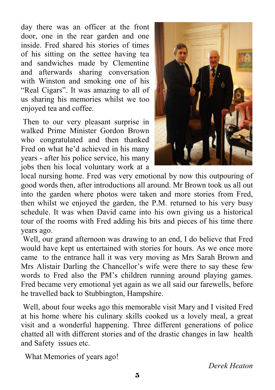day there was an officer at the front door, one in the rear garden and one inside. Fred shared his stories of times of his sitting on the settee having tea and sandwiches made by Clementine and afterwards sharing conversation with Winston and smoking one of his "Real Cigars". It was amazing to all of us sharing his memories whilst we too enjoyed tea and coffee.

 Then to our very pleasant surprise in walked Prime Minister Gordon Brown who congratulated and then thanked Fred on what he'd achieved in his many years - after his police service, his many jobs then his local voluntary work at a



local nursing home. Fred was very emotional by now this outpouring of good words then, after introductions all around. Mr Brown took us all out into the garden where photos were taken and more stories from Fred, then whilst we enjoyed the garden, the P.M. returned to his very busy schedule. It was when David came into his own giving us a historical tour of the rooms with Fred adding his bits and pieces of his time there years ago.

 Well, our grand afternoon was drawing to an end, I do believe that Fred would have kept us entertained with stories for hours. As we once more came to the entrance hall it was very moving as Mrs Sarah Brown and Mrs Alistair Darling the Chancellor's wife were there to say these few words to Fred also the PM's children running around playing games. Fred became very emotional yet again as we all said our farewells, before he travelled back to Stubbington, Hampshire.

 Well, about four weeks ago this memorable visit Mary and I visited Fred at his home where his culinary skills cooked us a lovely meal, a great visit and a wonderful happening. Three different generations of police chatted all with different stories and of the drastic changes in law health and Safety issues etc.

What Memories of years ago!

*Derek Heaton*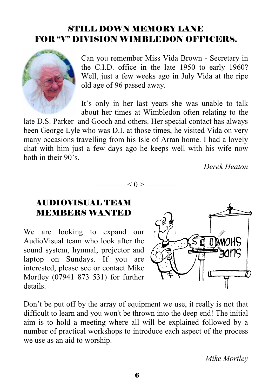### STILL DOWN MEMORY LANE FOR "V" DIVISION WIMBLEDON OFFICERS.



Can you remember Miss Vida Brown - Secretary in the C.I.D. office in the late 1950 to early 1960? Well, just a few weeks ago in July Vida at the ripe old age of 96 passed away.

It's only in her last years she was unable to talk about her times at Wimbledon often relating to the

late D.S. Parker and Gooch and others. Her special contact has always been George Lyle who was D.I. at those times, he visited Vida on very many occasions travelling from his Isle of Arran home. I had a lovely chat with him just a few days ago he keeps well with his wife now both in their 90's.

 $-< 0 > -$ 

*Derek Heaton* 

### AUDIOVISUAL TEAM MEMBERS WANTED

We are looking to expand our AudioVisual team who look after the sound system, hymnal, projector and laptop on Sundays. If you are interested, please see or contact Mike Mortley (07941 873 531) for further details.



Don't be put off by the array of equipment we use, it really is not that difficult to learn and you won't be thrown into the deep end! The initial aim is to hold a meeting where all will be explained followed by a number of practical workshops to introduce each aspect of the process we use as an aid to worship.

*Mike Mortley*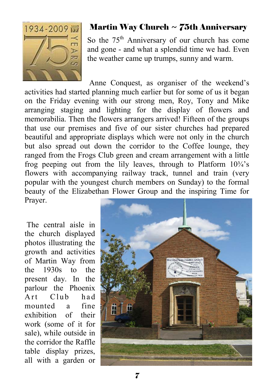

### **Martin Way Church**  $\sim$  **75th Anniversary**

So the 75<sup>th</sup> Anniversary of our church has come and gone - and what a splendid time we had. Even the weather came up trumps, sunny and warm.

 Anne Conquest, as organiser of the weekend's activities had started planning much earlier but for some of us it began on the Friday evening with our strong men, Roy, Tony and Mike arranging staging and lighting for the display of flowers and memorabilia. Then the flowers arrangers arrived! Fifteen of the groups that use our premises and five of our sister churches had prepared beautiful and appropriate displays which were not only in the church but also spread out down the corridor to the Coffee lounge, they ranged from the Frogs Club green and cream arrangement with a little frog peeping out from the lily leaves, through to Platform  $10\frac{3}{4}$ 's flowers with accompanying railway track, tunnel and train (very popular with the youngest church members on Sunday) to the formal beauty of the Elizabethan Flower Group and the inspiring Time for Prayer.

 The central aisle in the church displayed photos illustrating the growth and activities of Martin Way from the 1930s to the present day. In the parlour the Phoenix Art Club had mounted a fine exhibition of their work (some of it for sale), while outside in the corridor the Raffle table display prizes, all with a garden or

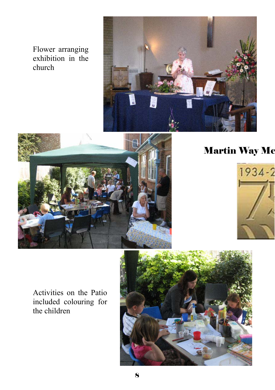Flower arranging exhibition in the church





## Martin Way Me



Activities on the Patio included colouring for the children

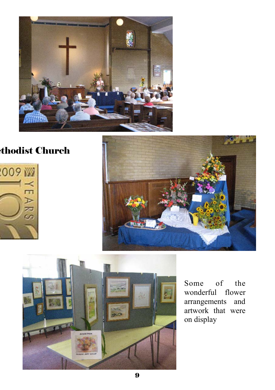

### ethodist Church







Some of the wonderful flower arrangements and artwork that were on display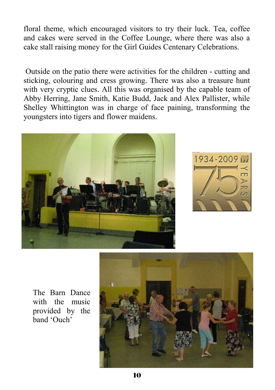floral theme, which encouraged visitors to try their luck. Tea, coffee and cakes were served in the Coffee Lounge, where there was also a cake stall raising money for the Girl Guides Centenary Celebrations.

 Outside on the patio there were activities for the children - cutting and sticking, colouring and cress growing. There was also a treasure hunt with very cryptic clues. All this was organised by the capable team of Abby Herring, Jane Smith, Katie Budd, Jack and Alex Pallister, while Shelley Whittington was in charge of face paining, transforming the youngsters into tigers and flower maidens.





The Barn Dance with the music provided by the band 'Ouch'

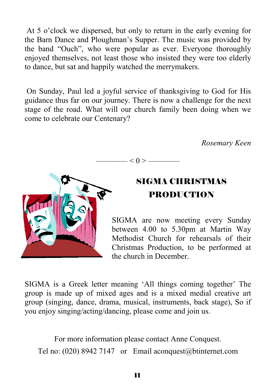At 5 o'clock we dispersed, but only to return in the early evening for the Barn Dance and Ploughman's Supper. The music was provided by the band "Ouch", who were popular as ever. Everyone thoroughly enjoyed themselves, not least those who insisted they were too elderly to dance, but sat and happily watched the merrymakers.

 On Sunday, Paul led a joyful service of thanksgiving to God for His guidance thus far on our journey. There is now a challenge for the next stage of the road. What will our church family been doing when we come to celebrate our Centenary?

 *Rosemary Keen* 

 $- < 0 >$  ——



### SIGMA CHRISTMAS PRODUCTION

SIGMA are now meeting every Sunday between 4.00 to 5.30pm at Martin Way Methodist Church for rehearsals of their Christmas Production, to be performed at the church in December.

SIGMA is a Greek letter meaning 'All things coming together' The group is made up of mixed ages and is a mixed medial creative art group (singing, dance, drama, musical, instruments, back stage), So if you enjoy singing/acting/dancing, please come and join us.

For more information please contact Anne Conquest. Tel no: (020) 8942 7147 or Email aconquest@btinternet.com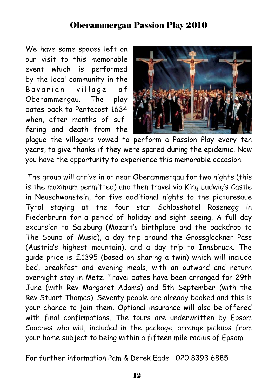### Oberammergau Passion Play 2010

We have some spaces left on our visit to this memorable event which is performed by the local community in the Bavarian village of Oberammergau. The play dates back to Pentecost 1634 when, after months of suffering and death from the



plague the villagers vowed to perform a Passion Play every ten years, to give thanks if they were spared during the epidemic. Now you have the opportunity to experience this memorable occasion.

The group will arrive in or near Oberammergau for two nights (this is the maximum permitted) and then travel via King Ludwig's Castle in Neuschwanstein, for five additional nights to the picturesque Tyrol staying at the four star Schlosshotel Rosenegg in Fiederbrunn for a period of holiday and sight seeing. A full day excursion to Salzburg (Mozart's birthplace and the backdrop to The Sound of Music), a day trip around the Grossglockner Pass (Austria's highest mountain), and a day trip to Innsbruck. The guide price is £1395 (based on sharing a twin) which will include bed, breakfast and evening meals, with an outward and return overnight stay in Metz. Travel dates have been arranged for 29th June (with Rev Margaret Adams) and 5th September (with the Rev Stuart Thomas). Seventy people are already booked and this is your chance to join them. Optional insurance will also be offered with final confirmations. The tours are underwritten by Epsom Coaches who will, included in the package, arrange pickups from your home subject to being within a fifteen mile radius of Epsom.

For further information Pam & Derek Eade 020 8393 6885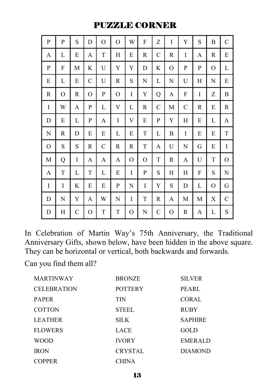#### PUZZLE CORNER

| P           | P | S             | D | O            | $\mathcal{O}$ | W | F | Z            | I | Y             | S | B | $\mathcal{C}$ |
|-------------|---|---------------|---|--------------|---------------|---|---|--------------|---|---------------|---|---|---------------|
| A           | L | E             | A | T            | Η             | E | R | $\mathsf{C}$ | R | I             | A | R | E             |
| P           | F | М             | K | U            | Y             | Y | D | K            | О | P             | P | O | L             |
| E           | L | E             | C | U            | R             | S | N | L            | N | U             | H | N | E             |
| $\mathbb R$ | O | R             | 0 | P            | $\mathcal{O}$ | I | Y | Q            | A | F             | I | Z | B             |
| I           | W | A             | P | L            | V             | L | R | $\mathsf{C}$ | М | $\mathcal{C}$ | R | E | R             |
| D           | E | L             | P | A            | I             | V | E | P            | Y | Η             | E | L | A             |
| N           | R | D             | E | E            | L             | E | T | L            | B | I             | E | E | T             |
| O           | S | S             | R | $\mathsf{C}$ | R             | R | T | A            | U | N             | G | E | I             |
| $\mathbf M$ | Q | I             | A | A            | A             | O | O | T            | R | A             | U | T | O             |
| A           | T | L             | T | L            | E             | I | P | S            | H | Η             | F | S | N             |
| I           | I | K             | E | E            | P             | N | I | Y            | S | D             | L | O | G             |
| D           | N | Y             | A | W            | N             | I | T | R            | A | M             | М | X | C             |
| D           | Η | $\mathcal{C}$ | O | T            | T             | O | N | C            | О | R             | A | L | $\mathbf S$   |

In Celebration of Martin Way's 75th Anniversary, the Traditional Anniversary Gifts, shown below, have been hidden in the above square. They can be horizontal or vertical, both backwards and forwards.

Can you find them all?

| <b>MARTINWAY</b>   | <b>BRONZE</b>  | <b>SILVER</b>  |
|--------------------|----------------|----------------|
| <b>CELEBRATION</b> | <b>POTTERY</b> | <b>PEARL</b>   |
| <b>PAPER</b>       | TIN            | <b>CORAL</b>   |
| <b>COTTON</b>      | <b>STEEL</b>   | <b>RUBY</b>    |
| <b>LEATHER</b>     | SILK.          | <b>SAPHIRE</b> |
| <b>FLOWERS</b>     | LACE           | <b>GOLD</b>    |
| <b>WOOD</b>        | <b>IVORY</b>   | <b>EMERALD</b> |
| <b>IRON</b>        | <b>CRYSTAL</b> | <b>DIAMOND</b> |
| <b>COPPER</b>      | <b>CHINA</b>   |                |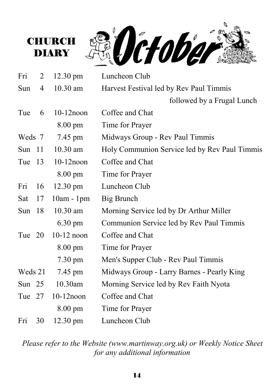



| Fri       | $\overline{2}$ | $12.30 \text{ pm}$ | Luncheon Club                                 |  |  |  |  |
|-----------|----------------|--------------------|-----------------------------------------------|--|--|--|--|
| Sun       | $\overline{4}$ | 10.30 am           | Harvest Festival led by Rev Paul Timmis       |  |  |  |  |
|           |                |                    | followed by a Frugal Lunch                    |  |  |  |  |
| Tue       | 6              | $10-12$ noon       | Coffee and Chat                               |  |  |  |  |
|           |                | 8.00 pm            | Time for Prayer                               |  |  |  |  |
| Weds 7    |                | 7.45 pm            | Midways Group - Rev Paul Timmis               |  |  |  |  |
| Sun       | 11             | $10.30$ am         | Holy Communion Service led by Rev Paul Timmis |  |  |  |  |
| Tue<br>13 |                | $10-12$ noon       | Coffee and Chat                               |  |  |  |  |
|           |                | 8.00 pm            | Time for Prayer                               |  |  |  |  |
| Fri       | 16             | 12.30 pm           | Luncheon Club                                 |  |  |  |  |
| Sat       | 17             | $10am - 1pm$       | Big Brunch                                    |  |  |  |  |
| Sun       | 18             | 10.30 am           | Morning Service led by Dr Arthur Miller       |  |  |  |  |
|           |                | $6.30 \text{ pm}$  | Communion Service led by Rev Paul Timmis      |  |  |  |  |
| Tue 20    |                | $10-12$ noon       | Coffee and Chat                               |  |  |  |  |
|           |                | 8.00 pm            | Time for Prayer                               |  |  |  |  |
|           |                | $7.30 \text{ pm}$  | Men's Supper Club - Rev Paul Timmis           |  |  |  |  |
| Weds 21   |                | 7.45 pm            | Midways Group - Larry Barnes - Pearly King    |  |  |  |  |
| Sun $25$  |                | 10.30am            | Morning Service led by Rev Faith Nyota        |  |  |  |  |
| Tue 27    |                | $10-12$ noon       | Coffee and Chat                               |  |  |  |  |
|           |                | $8.00 \text{ pm}$  | Time for Prayer                               |  |  |  |  |
| Fri       | 30             | 12.30 pm           | Luncheon Club                                 |  |  |  |  |

*Please refer to the Website (www.martinway.org.uk) or Weekly Notice Sheet for any additional information*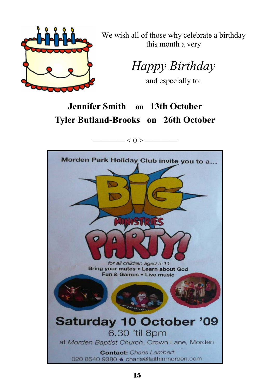

We wish all of those why celebrate a birthday this month a very

*Happy Birthday* 

and especially to:

## **Jennifer Smith on 13th October Tyler Butland-Brooks on 26th October**